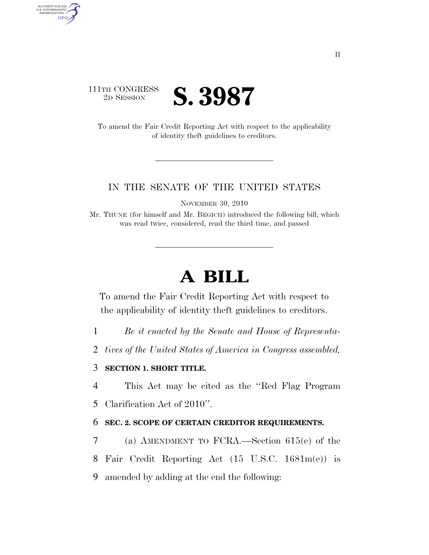

AUTHENTICATED<br>U.S. GOVERNMENT<br>INFORMATION

**GPO** 

To amend the Fair Credit Reporting Act with respect to the applicability of identity theft guidelines to creditors.

## IN THE SENATE OF THE UNITED STATES

NOVEMBER 30, 2010

Mr. THUNE (for himself and Mr. BEGICH) introduced the following bill; which was read twice, considered, read the third time, and passed

## **A BILL**

To amend the Fair Credit Reporting Act with respect to the applicability of identity theft guidelines to creditors.

- 1 *Be it enacted by the Senate and House of Representa-*
- 2 *tives of the United States of America in Congress assembled,*

## 3 **SECTION 1. SHORT TITLE.**

4 This Act may be cited as the ''Red Flag Program

5 Clarification Act of 2010''.

## 6 **SEC. 2. SCOPE OF CERTAIN CREDITOR REQUIREMENTS.**

- 7 (a) AMENDMENT TO FCRA.—Section 615(e) of the
- 8 Fair Credit Reporting Act (15 U.S.C. 1681m(e)) is
- 9 amended by adding at the end the following: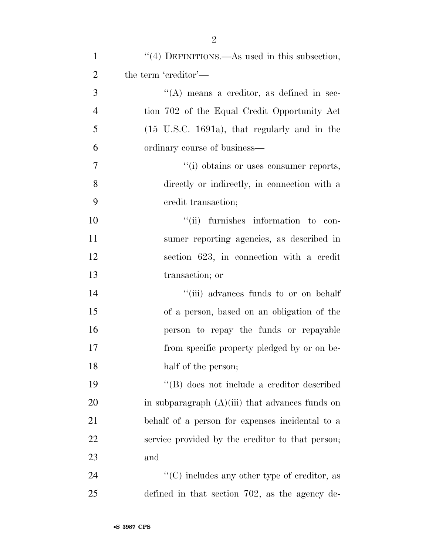| $\mathbf{1}$   | "(4) DEFINITIONS.—As used in this subsection,        |
|----------------|------------------------------------------------------|
| $\overline{2}$ | the term 'creditor'—                                 |
| 3              | $\lq\lq$ means a creditor, as defined in sec-        |
| $\overline{4}$ | tion 702 of the Equal Credit Opportunity Act         |
| 5              | $(15 \tU.S.C. 1691a)$ , that regularly and in the    |
| 6              | ordinary course of business—                         |
| $\tau$         | "(i) obtains or uses consumer reports,               |
| 8              | directly or indirectly, in connection with a         |
| 9              | credit transaction;                                  |
| 10             | "(ii) furnishes information to con-                  |
| 11             | sumer reporting agencies, as described in            |
| 12             | section 623, in connection with a credit             |
| 13             | transaction; or                                      |
| 14             | "(iii) advances funds to or on behalf                |
| 15             | of a person, based on an obligation of the           |
| 16             | person to repay the funds or repayable               |
| 17             | from specific property pledged by or on be-          |
| 18             | half of the person;                                  |
| 19             | "(B) does not include a creditor described           |
| 20             | in subparagraph $(A)(iii)$ that advances funds on    |
| 21             | behalf of a person for expenses incidental to a      |
| 22             | service provided by the creditor to that person;     |
| 23             | and                                                  |
| 24             | $\lq\lq$ (C) includes any other type of creditor, as |
| 25             | defined in that section 702, as the agency de-       |